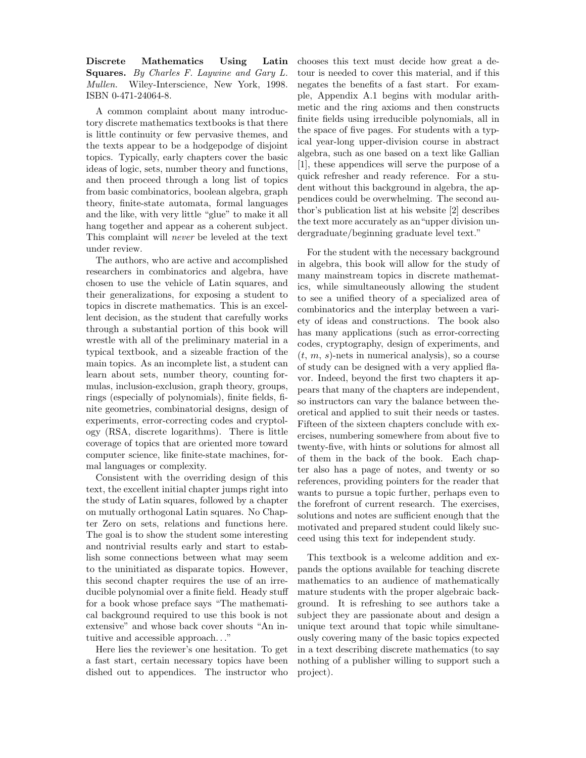Discrete Mathematics Using Latin Squares. By Charles F. Laywine and Gary L. Mullen. Wiley-Interscience, New York, 1998. ISBN 0-471-24064-8.

A common complaint about many introductory discrete mathematics textbooks is that there is little continuity or few pervasive themes, and the texts appear to be a hodgepodge of disjoint topics. Typically, early chapters cover the basic ideas of logic, sets, number theory and functions, and then proceed through a long list of topics from basic combinatorics, boolean algebra, graph theory, finite-state automata, formal languages and the like, with very little "glue" to make it all hang together and appear as a coherent subject. This complaint will never be leveled at the text under review.

The authors, who are active and accomplished researchers in combinatorics and algebra, have chosen to use the vehicle of Latin squares, and their generalizations, for exposing a student to topics in discrete mathematics. This is an excellent decision, as the student that carefully works through a substantial portion of this book will wrestle with all of the preliminary material in a typical textbook, and a sizeable fraction of the main topics. As an incomplete list, a student can learn about sets, number theory, counting formulas, inclusion-exclusion, graph theory, groups, rings (especially of polynomials), finite fields, finite geometries, combinatorial designs, design of experiments, error-correcting codes and cryptology (RSA, discrete logarithms). There is little coverage of topics that are oriented more toward computer science, like finite-state machines, formal languages or complexity.

Consistent with the overriding design of this text, the excellent initial chapter jumps right into the study of Latin squares, followed by a chapter on mutually orthogonal Latin squares. No Chapter Zero on sets, relations and functions here. The goal is to show the student some interesting and nontrivial results early and start to establish some connections between what may seem to the uninitiated as disparate topics. However, this second chapter requires the use of an irreducible polynomial over a finite field. Heady stuff for a book whose preface says "The mathematical background required to use this book is not extensive" and whose back cover shouts "An intuitive and accessible approach. . ."

Here lies the reviewer's one hesitation. To get a fast start, certain necessary topics have been dished out to appendices. The instructor who chooses this text must decide how great a detour is needed to cover this material, and if this negates the benefits of a fast start. For example, Appendix A.1 begins with modular arithmetic and the ring axioms and then constructs finite fields using irreducible polynomials, all in the space of five pages. For students with a typical year-long upper-division course in abstract algebra, such as one based on a text like Gallian [1], these appendices will serve the purpose of a quick refresher and ready reference. For a student without this background in algebra, the appendices could be overwhelming. The second author's publication list at his website [2] describes the text more accurately as an"upper division undergraduate/beginning graduate level text."

For the student with the necessary background in algebra, this book will allow for the study of many mainstream topics in discrete mathematics, while simultaneously allowing the student to see a unified theory of a specialized area of combinatorics and the interplay between a variety of ideas and constructions. The book also has many applications (such as error-correcting codes, cryptography, design of experiments, and  $(t, m, s)$ -nets in numerical analysis), so a course of study can be designed with a very applied flavor. Indeed, beyond the first two chapters it appears that many of the chapters are independent, so instructors can vary the balance between theoretical and applied to suit their needs or tastes. Fifteen of the sixteen chapters conclude with exercises, numbering somewhere from about five to twenty-five, with hints or solutions for almost all of them in the back of the book. Each chapter also has a page of notes, and twenty or so references, providing pointers for the reader that wants to pursue a topic further, perhaps even to the forefront of current research. The exercises, solutions and notes are sufficient enough that the motivated and prepared student could likely succeed using this text for independent study.

This textbook is a welcome addition and expands the options available for teaching discrete mathematics to an audience of mathematically mature students with the proper algebraic background. It is refreshing to see authors take a subject they are passionate about and design a unique text around that topic while simultaneously covering many of the basic topics expected in a text describing discrete mathematics (to say nothing of a publisher willing to support such a project).